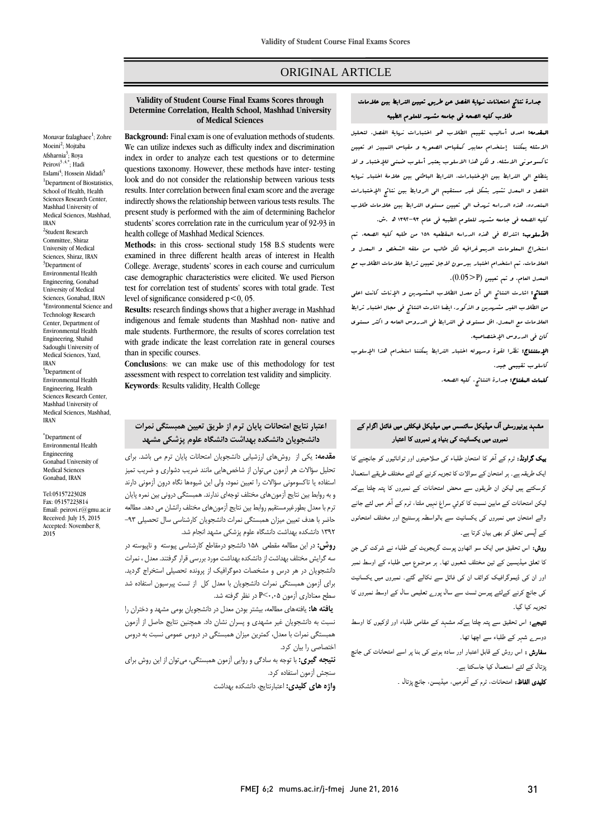# ORIGINAL ARTICLE

**Validity of Student Course Final Exams Scores through Determine Correlation, Health School, Mashhad University of Medical Sciences**

Monavar fzalagha[e](http://fmej.mums.ac.ir/article_7514.html#au1)e<sup>1</sup>; Zohre Moei[ni](http://fmej.mums.ac.ir/article_7514.html#au2)<sup>2</sup>; Mojtaba Afsh[a](http://fmej.mums.ac.ir/article_7514.html#au3)rnia<sup>3</sup>; Roya Peiro[vi](http://fmej.mums.ac.ir/article_7514.html#au3)<sup>3 [,4,\\*](http://fmej.mums.ac.ir/article_7514.html#au4)</sup>; Hadi Esla[mi](http://fmej.mums.ac.ir/article_7514.html#au4)<sup>4</sup>; Hossein Alida[di](http://fmej.mums.ac.ir/article_7514.html#au5)<sup>5</sup> <sup>1</sup>Department of Biostatistics School of Health, Health Sciences Research Center, Mashhad University of Medical Sciences, Mashhad, <sup>2</sup>Student Research Committee, Shiraz University of Medical Sciences, Shiraz, IRAN <sup>3</sup>Department of Environmental Health

Engineering, Gonabad University of Medical Sciences, Gonabad, IRAN 4 Environmental Science and Technology Research Center, Department of Environmental Health Engineering, Shahid Sadoughi University of Medical Sciences, Yazd, IRAN

IRAN

<sup>5</sup>Department of Environmental Health Engineering, Health Sciences Research Center, Mashhad University of Medical Sciences, Mashhad, IRAN

\*Department of Environmental Health Engineering Gonabad University of Medical Sciences Gonabad, IRAN

[Tel:05157223028](tel:05157223028) Fax: 05157223814 Email[: peirovi.r@gmu.ac.ir](mailto:peirovi.r@gmu.ac.ir) Received: July 15, 2015 Accepted: November 8, 2015

### **Background:** Final exam is one of evaluation methods of students. We can utilize indexes such as difficulty index and discrimination index in order to analyze each test questions or to determine questions taxonomy. However, these methods have inter- testing look and do not consider the relationship between various tests results. Inter correlation between final exam score and the average indirectly shows the relationship between various tests results. The present study is performed with the aim of determining Bachelor students' scores correlation rate in the curriculum year of 92-93 in health college of Mashhad Medical Sciences.

**Methods:** in this cross- sectional study 158 B.S students were examined in three different health areas of interest in Health College. Average, students' scores in each course and curriculum case demographic characteristics were elicited. We used Pierson test for correlation test of students' scores with total grade. Test level of significance considered  $p < 0$ , 05.

**Results:** research findings shows that a higher average in Mashhad indigenous and female students than Mashhad non- native and male students. Furthermore, the results of scores correlation test with grade indicate the least correlation rate in general courses than in specific courses.

**Conclusio**ns: we can make use of this methodology for test assessment with respect to correlation test validity and simplicity. **Keywords**: Results validity, Health College

## **اعتبار نتايج امتحانات پايان ترم از طريق تعیین همبستگی نمرات دانشجويان دانشکده بهداشت دانشگاه علوم پزشکی مشهد**

**مقدمه:** یکی از روشهای ارزشیابی دانشجویان امتحانات پایان ترم می باشد. برای تحلیل سؤاالت هر آزمون میتوان از شاخصهایی مانند ضریب دشواری و ضریب تمیز استفاده یا تاكسومونی سؤاالت را تعیین نمود، ولی این شیوهها نگاه درون آزمونی دارند و به روابط بین نتایج آزمونهای مختلف توجهای ندارند. همبستگی درونی بین نمره پایان ترم با معدل بطورغیرمستقیم روابط بین نتایج آزمونهای مختلف رانشان می دهد. مطالعه حاضر با هدف تعیین میزان همبستگی نمرات دانشجویان كارشناسی سال تحصیلی -93 1392 دانشکده بهداشت دانشگاه علوم پزشکی مشهد انجام شد.

**روش:** در این مطالعه مقطعی 158 دانشجو درمقاطع كارشناسی پیوسته و ناپیوسته در سه گرایش مختلف بهداشت از دانشکده بهداشت مورد بررسی قرار گرفتند. معدل ، نمرات دانشجویان در هر درس و مشخصات دموگرافیک از پرونده تحصیلی استخراج گردید. برای آزمون همبستگی نمرات دانشجویان با معدل كل از تست پیرسیون استفاده شد سطح معناداری آزمون P<۰٫۰۵ در نظر گرفته شد.

**يافته ها:** یافتههای مطالعه، بیشتر بودن معدل در دانشجویان بومی مشهد و دختران را نسبت به دانشجویان غیر مشهدی و پسران نشان داد. همچنین نتایج حاصل از آزمون همبستگی نمرات با معدل، كمترین میزان همبستگی در دروس عمومی نسبت به دروس اختصاصی را بیان كرد.

**نتیجه گیری:** با توجه به سادگی و روایی آزمون همبستگی، میتوان از این روش برای سنجش آزمون استفاده كرد.

**واژه های کلیدی:** اعتبارنتایج، دانشکده بهداشت

# جدارة نتائج امتحانات نهاية الفصل عن طريق تعيين الترابط بين عالمات طالب كليه الصحه في جامعه مشهد للعلوم الطبيه

المقدمه: احدي أساليب تقييم الطالب هو اختبارات نهاية الفصل. لتحليل االسئله يمكننا إستخدام معابير كمقياس الصعوبه و مقياس التمييز او تعيين تاكسوموني االسئله، و لكن هذا االسلوب يعتبر أسلوب ضمني لإلختبار و ال يتطلع الي الترابط بين اإلختبارات. الترابط الباطني بين عالمة اختبار نهايه الفصل و المعدل تشير بشكل غير مستقيم الي الروابط بين نتائج اإلختبارات المتعدده. هذه الدراسه تهدف الي تعيين مستوي الترابط بين عالمات طالب كليه الصحه في جامعه مشهد للعلوم الطبيه في عام 1392-93 هد.ش.

ا**لأسلوب:** اشترك ف<sub>ى</sub> هذه الدراسه المقطعيه ١٥٨ من طلبه كليه الصحه، تم استخراج المعلومات الديموغرافيه لكل طالب من ملفه الشخص و المعدل و العالمات. تم استخدام اختبار بيرسون الجل تعيين ترابط عالمات الطالب مع المعدل العام. و تم تعيين (P>0.05(.

النتائج: اشارت النتائج الي أن معدل الطالب المشهدين و اإلناث كانت اعلي من الطالب الغير مشهدين و الذكور. ايضا اشارت النتائج في مجال اختبار ترابط العالمات مع المعدل، اقل مستوي في الترابط في الدروس العامه و اكثر مستوي كان في الدروس اإلختصاصيه.

اإلستنتاج: نظرا لقوة وسهوله اختبار الترابط يمكننا استخدام هذا اإلسلوب كاسلوب تقييمي جيد.

كلمات المفتاح: جدارة النتائج، كليه الصحه.

# مشہد یونیورسٹی آف میڈیکل سائنسس میں میڈیکل فیکلٹی میں فائنل اگزام کے نمبروں میں یکسانیت کی بنیاد پر نمبروں کا اعتبار

**بیک گراونڈ:** ٹرم کے آخر کا امتحان طلباء کی صلاحیتوں اور توانائیوں کو جانچنے کا ایک طریقہ ہے۔ ہر امتحان کے سوالات کا تجزیہ کرنے کے لئے مختلف طریقے استعمال کرسکتے ہيں لیکن ان طریقوں سے محض امتحانات کے نمبروں کا پتہ چلتا ہےکہ لیکن امتحانات کے مابین نسبت کا کوئي سراغ نہیں ملتا، ٹرم کے ا خر میں لئے جانے والے امتحان میں نمبروں کی یکسانیت سے بالواسطہ پرسنٹیج اور مختلف امتحانوں کے ا پسی تعلق کو بھی بیان کرتا ہے۔

روش: اس تحقیق میں ایک سو اٹھاون پوست گریجویٹ کے طلباء نے شرکت کی جن کا تعلق میڈیسین کے تین مختلف شعبوں تھا۔ ہر موضوع میں طلباء کے اوسط نمبر اور ان کی ڈیموگرافیک کوائف ان کی فائل سے نکالے گئے۔ نمبروں میں یکسانیت کی جانچ کرنے کےلئے پیرسن ٹسٹ سے سال پورے تعلیمی سال کے اوسط نمبروں کا تجزیہ کیا گيا۔

نتیجے: اس تحقیق سے پتہ چلتا ہےکہ مشہد کے مقامی طلباء اور لڑکیوں کا اوسط دوسرے شہر کے طلباء سے اچھا تھا۔

سفارش : اس روش کے قابل اعتبار اور سادہ ہونے کی بنا پر اسے امتحانات کی جانچ پڑتال کے لئے استعمال کیا جاسکتا ہے۔

کلیدی الفاظ: امتحانات، ٹرم کے ا خرمیں، میڈیسن، جانچ پڑتال ۔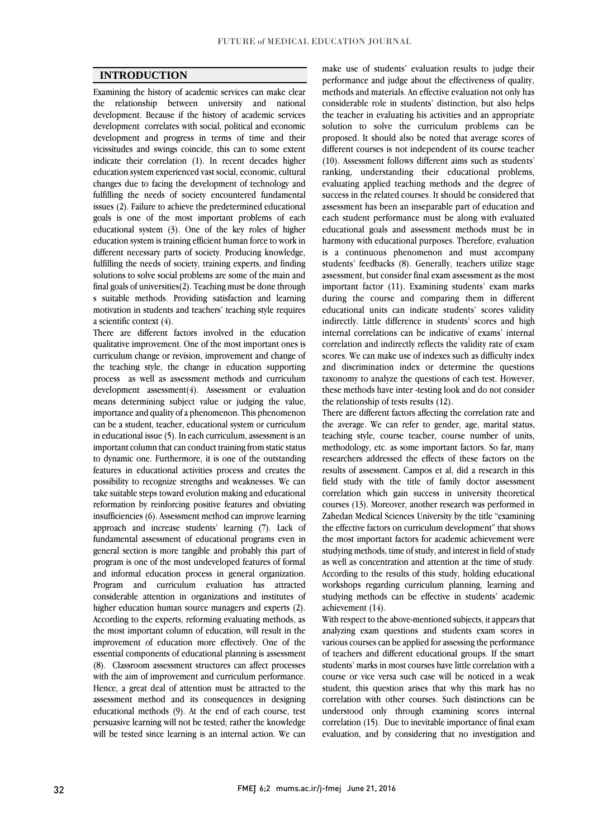## **INTRODUCTION**

Examining the history of academic services can make clear the relationship between university and national development. Because if the history of academic services development correlates with social, political and economic development and progress in terms of time and their vicissitudes and swings coincide, this can to some extent indicate their correlation (1). In recent decades higher education system experienced vast social, economic, cultural changes due to facing the development of technology and fulfilling the needs of society encountered fundamental issues (2). Failure to achieve the predetermined educational goals is one of the most important problems of each educational system (3). One of the key roles of higher education system is training efficient human force to work in different necessary parts of society. Producing knowledge, fulfilling the needs of society, training experts, and finding solutions to solve social problems are some of the main and final goals of universities(2). Teaching must be done through s suitable methods. Providing satisfaction and learning motivation in students and teachers' teaching style requires a scientific context (4).

There are different factors involved in the education qualitative improvement. One of the most important ones is curriculum change or revision, improvement and change of the teaching style, the change in education supporting process as well as assessment methods and curriculum development assessment(4). Assessment or evaluation means determining subject value or judging the value, importance and quality of a phenomenon. This phenomenon can be a student, teacher, educational system or curriculum in educational issue (5). In each curriculum, assessment is an important column that can conduct training from static status to dynamic one. Furthermore, it is one of the outstanding features in educational activities process and creates the possibility to recognize strengths and weaknesses. We can take suitable steps toward evolution making and educational reformation by reinforcing positive features and obviating insufficiencies (6). Assessment method can improve learning approach and increase students' learning (7). Lack of fundamental assessment of educational programs even in general section is more tangible and probably this part of program is one of the most undeveloped features of formal and informal education process in general organization. Program and curriculum evaluation has attracted considerable attention in organizations and institutes of higher education human source managers and experts (2). According to the experts, reforming evaluating methods, as the most important column of education, will result in the improvement of education more effectively. One of the essential components of educational planning is assessment (8). Classroom assessment structures can affect processes with the aim of improvement and curriculum performance. Hence, a great deal of attention must be attracted to the assessment method and its consequences in designing educational methods (9). At the end of each course, test persuasive learning will not be tested; rather the knowledge will be tested since learning is an internal action. We can

make use of students' evaluation results to judge their performance and judge about the effectiveness of quality, methods and materials. An effective evaluation not only has considerable role in students' distinction, but also helps the teacher in evaluating his activities and an appropriate solution to solve the curriculum problems can be proposed. It should also be noted that average scores of different courses is not independent of its course teacher (10). Assessment follows different aims such as students' ranking, understanding their educational problems, evaluating applied teaching methods and the degree of success in the related courses. It should be considered that assessment has been an inseparable part of education and each student performance must be along with evaluated educational goals and assessment methods must be in harmony with educational purposes. Therefore, evaluation is a continuous phenomenon and must accompany students' feedbacks (8). Generally, teachers utilize stage assessment, but consider final exam assessment as the most important factor (11). Examining students' exam marks during the course and comparing them in different educational units can indicate students' scores validity indirectly. Little difference in students' scores and high internal correlations can be indicative of exams' internal correlation and indirectly reflects the validity rate of exam scores. We can make use of indexes such as difficulty index and discrimination index or determine the questions taxonomy to analyze the questions of each test. However, these methods have inter -testing look and do not consider the relationship of tests results (12).

There are different factors affecting the correlation rate and the average. We can refer to gender, age, marital status, teaching style, course teacher, course number of units, methodology, etc. as some important factors. So far, many researchers addressed the effects of these factors on the results of assessment. Campos et al, did a research in this field study with the title of family doctor assessment correlation which gain success in university theoretical courses (13). Moreover, another research was performed in Zahedan Medical Sciences University by the title "examining the effective factors on curriculum development" that shows the most important factors for academic achievement were studying methods, time of study, and interest in field of study as well as concentration and attention at the time of study. According to the results of this study, holding educational workshops regarding curriculum planning, learning and studying methods can be effective in students' academic achievement (14).

With respect to the above-mentioned subjects, it appears that analyzing exam questions and students exam scores in various courses can be applied for assessing the performance of teachers and different educational groups. If the smart students' marks in most courses have little correlation with a course or vice versa such case will be noticed in a weak student, this question arises that why this mark has no correlation with other courses. Such distinctions can be understood only through examining scores internal correlation (15). Due to inevitable importance of final exam evaluation, and by considering that no investigation and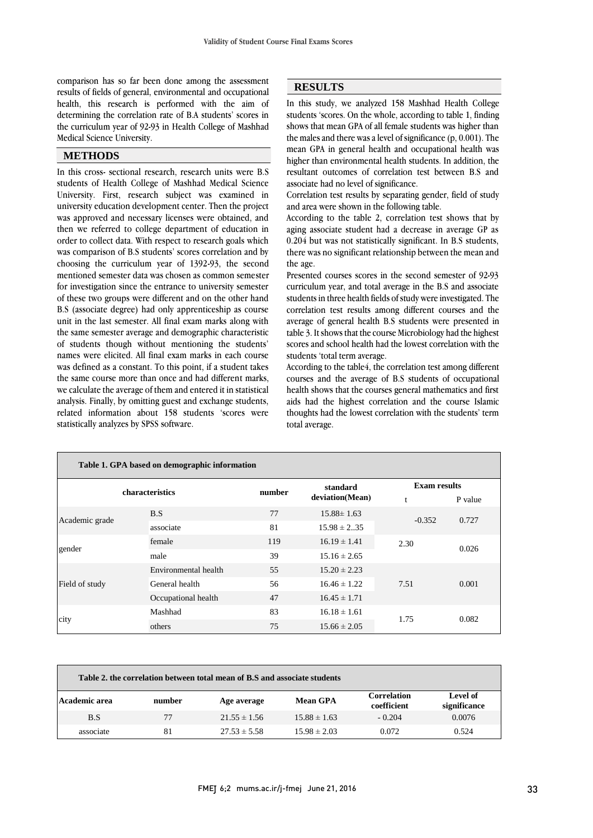comparison has so far been done among the assessment results of fields of general, environmental and occupational health, this research is performed with the aim of determining the correlation rate of B.A students' scores in the curriculum year of 92-93 in Health College of Mashhad Medical Science University.

## **METHODS**

In this cross- sectional research, research units were B.S students of Health College of Mashhad Medical Science University. First, research subject was examined in university education development center. Then the project was approved and necessary licenses were obtained, and then we referred to college department of education in order to collect data. With respect to research goals which was comparison of B.S students' scores correlation and by choosing the curriculum year of 1392-93, the second mentioned semester data was chosen as common semester for investigation since the entrance to university semester of these two groups were different and on the other hand B.S (associate degree) had only apprenticeship as course unit in the last semester. All final exam marks along with the same semester average and demographic characteristic of students though without mentioning the students' names were elicited. All final exam marks in each course was defined as a constant. To this point, if a student takes the same course more than once and had different marks, we calculate the average of them and entered it in statistical analysis. Finally, by omitting guest and exchange students, related information about 158 students 'scores were statistically analyzes by SPSS software.

# **RESULTS**

In this study, we analyzed 158 Mashhad Health College students 'scores. On the whole, according to table 1, finding shows that mean GPA of all female students was higher than the males and there was a level of significance (p, 0.001). The mean GPA in general health and occupational health was higher than environmental health students. In addition, the resultant outcomes of correlation test between B.S and associate had no level of significance.

Correlation test results by separating gender, field of study and area were shown in the following table.

According to the table 2, correlation test shows that by aging associate student had a decrease in average GP as 0.204 but was not statistically significant. In B.S students, there was no significant relationship between the mean and the age.

Presented courses scores in the second semester of 92-93 curriculum year, and total average in the B.S and associate students in three health fields of study were investigated. The correlation test results among different courses and the average of general health B.S students were presented in table 3. It shows that the course Microbiology had the highest scores and school health had the lowest correlation with the students 'total term average.

According to the table4, the correlation test among different courses and the average of B.S students of occupational health shows that the courses general mathematics and first aids had the highest correlation and the course Islamic thoughts had the lowest correlation with the students' term total average.

| Table 1. GPA based on demographic information |                      |                                                                                                     |                  |                                  |         |  |
|-----------------------------------------------|----------------------|-----------------------------------------------------------------------------------------------------|------------------|----------------------------------|---------|--|
|                                               | characteristics      |                                                                                                     | standard         |                                  |         |  |
|                                               |                      |                                                                                                     | deviation(Mean)  | $\ddagger$                       | P value |  |
|                                               | B.S                  | 77                                                                                                  | $15.88 \pm 1.63$ | $-0.352$<br>2.30<br>7.51<br>1.75 | 0.727   |  |
|                                               | associate            | 81                                                                                                  | $15.98 \pm 2.35$ |                                  |         |  |
|                                               | female               | 119                                                                                                 | $16.19 \pm 1.41$ |                                  |         |  |
|                                               | male                 | 39                                                                                                  | $15.16 \pm 2.65$ |                                  |         |  |
|                                               | Environmental health | 55                                                                                                  | $15.20 \pm 2.23$ |                                  |         |  |
| Field of study                                | General health       | 56                                                                                                  | $16.46 \pm 1.22$ |                                  | 0.001   |  |
|                                               | Occupational health  | <b>Exam results</b><br>number<br>0.026<br>47<br>$16.45 \pm 1.71$<br>83<br>$16.18 \pm 1.61$<br>0.082 |                  |                                  |         |  |
| Academic grade<br>gender                      | Mashhad              |                                                                                                     |                  |                                  |         |  |
| city                                          | others               | 75                                                                                                  | $15.66 \pm 2.05$ |                                  |         |  |

| Table 2, the correlation between total mean of B.S and associate students |        |                  |                  |                                   |                          |
|---------------------------------------------------------------------------|--------|------------------|------------------|-----------------------------------|--------------------------|
| Academic area                                                             | number | Age average      | <b>Mean GPA</b>  | <b>Correlation</b><br>coefficient | Level of<br>significance |
| B.S                                                                       | 77     | $21.55 \pm 1.56$ | $15.88 \pm 1.63$ | $-0.204$                          | 0.0076                   |
| associate                                                                 | 81     | $27.53 \pm 5.58$ | $15.98 \pm 2.03$ | 0.072                             | 0.524                    |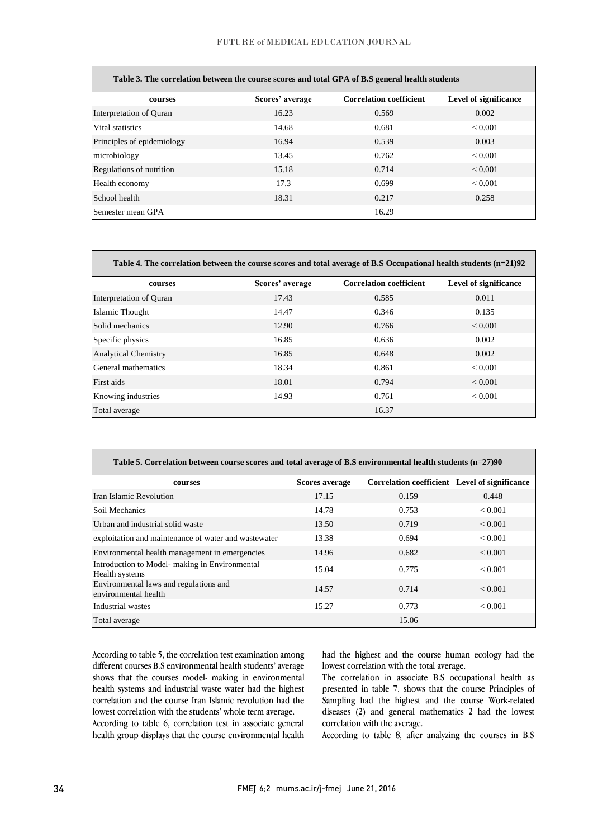| Table 3. The correlation between the course scores and total GPA of B.S general health students |                 |                                |                              |  |
|-------------------------------------------------------------------------------------------------|-----------------|--------------------------------|------------------------------|--|
| courses                                                                                         | Scores' average | <b>Correlation coefficient</b> | <b>Level of significance</b> |  |
| Interpretation of Quran                                                                         | 16.23           | 0.569                          | 0.002                        |  |
| Vital statistics                                                                                | 14.68           | 0.681                          | ${}_{0.001}$                 |  |
| Principles of epidemiology                                                                      | 16.94           | 0.539                          | 0.003                        |  |
| microbiology                                                                                    | 13.45           | 0.762                          | ${}_{\leq 0.001}$            |  |
| Regulations of nutrition                                                                        | 15.18           | 0.714                          | ${}_{0.001}$                 |  |
| Health economy                                                                                  | 17.3            | 0.699                          | ${}_{0.001}$                 |  |
| School health                                                                                   | 18.31           | 0.217                          | 0.258                        |  |
| Semester mean GPA                                                                               |                 | 16.29                          |                              |  |

#### **Table 3. The correlation between the course scores and total GPA of B.S general health students**

|  | Table 4. The correlation between the course scores and total average of B.S Occupational health students (n=21)92 |  |  |  |  |
|--|-------------------------------------------------------------------------------------------------------------------|--|--|--|--|
|  |                                                                                                                   |  |  |  |  |

| courses                     | Scores' average | <b>Correlation coefficient</b> | <b>Level of significance</b> |
|-----------------------------|-----------------|--------------------------------|------------------------------|
| Interpretation of Quran     | 17.43           | 0.585                          | 0.011                        |
| Islamic Thought             | 14.47           | 0.346                          | 0.135                        |
| Solid mechanics             | 12.90           | 0.766                          | ${}_{0.001}$                 |
| Specific physics            | 16.85           | 0.636                          | 0.002                        |
| <b>Analytical Chemistry</b> | 16.85           | 0.648                          | 0.002                        |
| General mathematics         | 18.34           | 0.861                          | ${}_{0.001}$                 |
| First aids                  | 18.01           | 0.794                          | ${}_{0.001}$                 |
| Knowing industries          | 14.93           | 0.761                          | ${}_{0.001}$                 |
| Total average               |                 | 16.37                          |                              |

| Table 5. Correlation between course scores and total average of B.S environmental health students (n=27)90 |                |                                               |              |
|------------------------------------------------------------------------------------------------------------|----------------|-----------------------------------------------|--------------|
| courses                                                                                                    | Scores average | Correlation coefficient Level of significance |              |
| Iran Islamic Revolution                                                                                    | 17.15          | 0.159                                         | 0.448        |
| Soil Mechanics                                                                                             | 14.78          | 0.753                                         | < 0.001      |
| Urban and industrial solid waste                                                                           | 13.50          | 0.719                                         | ${}_{0.001}$ |
| exploitation and maintenance of water and wastewater                                                       | 13.38          | 0.694                                         | ${}_{0.001}$ |
| Environmental health management in emergencies                                                             | 14.96          | 0.682                                         | ${}_{0.001}$ |
| Introduction to Model- making in Environmental<br>Health systems                                           | 15.04          | 0.775                                         | ${}_{0.001}$ |
| Environmental laws and regulations and<br>environmental health                                             | 14.57          | 0.714                                         | ${}_{0.001}$ |
| Industrial wastes                                                                                          | 15.27          | 0.773                                         | ${}_{0.001}$ |
| Total average                                                                                              |                | 15.06                                         |              |

According to table 5, the correlation test examination among different courses B.S environmental health students' average shows that the courses model- making in environmental health systems and industrial waste water had the highest correlation and the course Iran Islamic revolution had the lowest correlation with the students' whole term average. According to table 6, correlation test in associate general health group displays that the course environmental health

had the highest and the course human ecology had the lowest correlation with the total average.

The correlation in associate B.S occupational health as presented in table 7, shows that the course Principles of Sampling had the highest and the course Work-related diseases (2) and general mathematics 2 had the lowest correlation with the average.

According to table 8, after analyzing the courses in B.S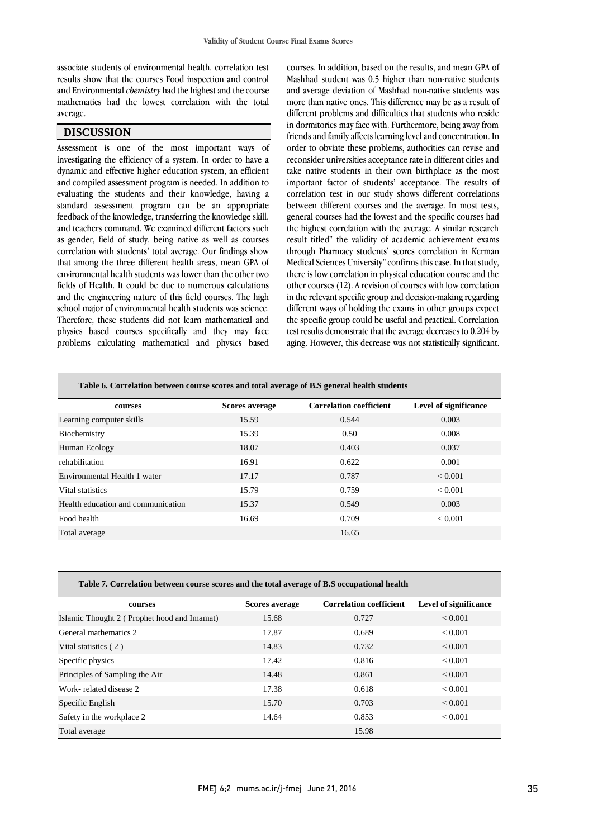associate students of environmental health, correlation test results show that the courses Food inspection and control and Environmental *chemistry* had the highest and the course mathematics had the lowest correlation with the total average.

## **DISCUSSION**

Assessment is one of the most important ways of investigating the efficiency of a system. In order to have a dynamic and effective higher education system, an efficient and compiled assessment program is needed. In addition to evaluating the students and their knowledge, having a standard assessment program can be an appropriate feedback of the knowledge, transferring the knowledge skill, and teachers command. We examined different factors such as gender, field of study, being native as well as courses correlation with students' total average. Our findings show that among the three different health areas, mean GPA of environmental health students was lower than the other two fields of Health. It could be due to numerous calculations and the engineering nature of this field courses. The high school major of environmental health students was science. Therefore, these students did not learn mathematical and physics based courses specifically and they may face problems calculating mathematical and physics based

courses. In addition, based on the results, and mean GPA of Mashhad student was 0.5 higher than non-native students and average deviation of Mashhad non-native students was more than native ones. This difference may be as a result of different problems and difficulties that students who reside in dormitories may face with. Furthermore, being away from friends and family affects learning level and concentration. In order to obviate these problems, authorities can revise and reconsider universities acceptance rate in different cities and take native students in their own birthplace as the most important factor of students' acceptance. The results of correlation test in our study shows different correlations between different courses and the average. In most tests, general courses had the lowest and the specific courses had the highest correlation with the average. A similar research result titled" the validity of academic achievement exams through Pharmacy students' scores correlation in Kerman Medical Sciences University" confirms this case. In that study, there is low correlation in physical education course and the other courses (12). A revision of courses with low correlation in the relevant specific group and decision-making regarding different ways of holding the exams in other groups expect the specific group could be useful and practical. Correlation test results demonstrate that the average decreases to 0.204 by aging. However, this decrease was not statistically significant.

| Table 6. Correlation between course scores and total average of B.S general health students |                       |                                |                              |
|---------------------------------------------------------------------------------------------|-----------------------|--------------------------------|------------------------------|
| courses                                                                                     | <b>Scores average</b> | <b>Correlation coefficient</b> | <b>Level of significance</b> |
| Learning computer skills                                                                    | 15.59                 | 0.544                          | 0.003                        |
| Biochemistry                                                                                | 15.39                 | 0.50                           | 0.008                        |
| Human Ecology                                                                               | 18.07                 | 0.403                          | 0.037                        |
| <b>rehabilitation</b>                                                                       | 16.91                 | 0.622                          | 0.001                        |
| Environmental Health 1 water                                                                | 17.17                 | 0.787                          | ${}_{0.001}$                 |
| Vital statistics                                                                            | 15.79                 | 0.759                          | < 0.001                      |
| Health education and communication                                                          | 15.37                 | 0.549                          | 0.003                        |
| Food health                                                                                 | 16.69                 | 0.709                          | < 0.001                      |
| Total average                                                                               |                       | 16.65                          |                              |

| Table 7. Correlation between course scores and the total average of B.S occupational health |                |                                |                       |  |  |
|---------------------------------------------------------------------------------------------|----------------|--------------------------------|-----------------------|--|--|
| courses                                                                                     | Scores average | <b>Correlation coefficient</b> | Level of significance |  |  |
| Islamic Thought 2 (Prophet hood and Imamat)                                                 | 15.68          | 0.727                          | ${}_{0.001}$          |  |  |
| General mathematics 2                                                                       | 17.87          | 0.689                          | ${}_{0.001}$          |  |  |
| Vital statistics (2)                                                                        | 14.83          | 0.732                          | ${}_{0.001}$          |  |  |
| Specific physics                                                                            | 17.42          | 0.816                          | ${}_{0.001}$          |  |  |
| Principles of Sampling the Air                                                              | 14.48          | 0.861                          | ${}_{\leq 0.001}$     |  |  |
| Work-related disease 2                                                                      | 17.38          | 0.618                          | ${}_{0.001}$          |  |  |
| Specific English                                                                            | 15.70          | 0.703                          | ${}_{0.001}$          |  |  |
| Safety in the workplace 2                                                                   | 14.64          | 0.853                          | ${}_{0.001}$          |  |  |
| Total average                                                                               |                | 15.98                          |                       |  |  |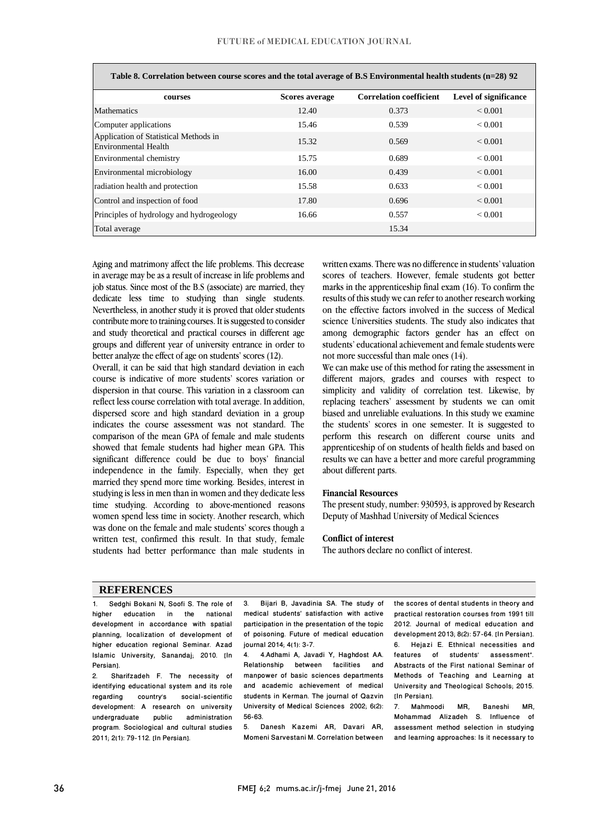| Table 8. Correlation between course scores and the total average of B.S Environmental health students (n=28) 92 |                       |                                |                       |  |
|-----------------------------------------------------------------------------------------------------------------|-----------------------|--------------------------------|-----------------------|--|
| courses                                                                                                         | <b>Scores average</b> | <b>Correlation coefficient</b> | Level of significance |  |
| <b>Mathematics</b>                                                                                              | 12.40                 | 0.373                          | ${}_{0.001}$          |  |
| Computer applications                                                                                           | 15.46                 | 0.539                          | ${}_{0.001}$          |  |
| Application of Statistical Methods in<br>Environmental Health                                                   | 15.32                 | 0.569                          | ${}_{0.001}$          |  |
| Environmental chemistry                                                                                         | 15.75                 | 0.689                          | ${}_{0.001}$          |  |
| Environmental microbiology                                                                                      | 16.00                 | 0.439                          | ${}_{0.001}$          |  |
| radiation health and protection                                                                                 | 15.58                 | 0.633                          | ${}_{0.001}$          |  |
| Control and inspection of food                                                                                  | 17.80                 | 0.696                          | ${}_{0.001}$          |  |
| Principles of hydrology and hydrogeology                                                                        | 16.66                 | 0.557                          | ${}_{0.001}$          |  |
| Total average                                                                                                   |                       | 15.34                          |                       |  |

Aging and matrimony affect the life problems. This decrease in average may be as a result of increase in life problems and job status. Since most of the B.S (associate) are married, they dedicate less time to studying than single students. Nevertheless, in another study it is proved that older students contribute more to training courses. It is suggested to consider and study theoretical and practical courses in different age groups and different year of university entrance in order to better analyze the effect of age on students' scores (12).

Overall, it can be said that high standard deviation in each course is indicative of more students' scores variation or dispersion in that course. This variation in a classroom can reflect less course correlation with total average. In addition, dispersed score and high standard deviation in a group indicates the course assessment was not standard. The comparison of the mean GPA of female and male students showed that female students had higher mean GPA. This significant difference could be due to boys' financial independence in the family. Especially, when they get married they spend more time working. Besides, interest in studying is less in men than in women and they dedicate less time studying. According to above-mentioned reasons women spend less time in society. Another research, which was done on the female and male students' scores though a written test, confirmed this result. In that study, female students had better performance than male students in written exams. There was no difference in students' valuation scores of teachers. However, female students got better marks in the apprenticeship final exam (16). To confirm the results of this study we can refer to another research working on the effective factors involved in the success of Medical science Universities students. The study also indicates that among demographic factors gender has an effect on students' educational achievement and female students were not more successful than male ones (14).

We can make use of this method for rating the assessment in different majors, grades and courses with respect to simplicity and validity of correlation test. Likewise, by replacing teachers' assessment by students we can omit biased and unreliable evaluations. In this study we examine the students' scores in one semester. It is suggested to perform this research on different course units and apprenticeship of on students of health fields and based on results we can have a better and more careful programming about different parts.

#### **Financial Resources**

The present study, number: 930593, is approved by Research Deputy of Mashhad University of Medical Sciences

#### **Conflict of interest**

The authors declare no conflict of interest.

#### **REFERENCES**

1. Sedghi Bokani N, Soofi S. The role of<br>higher education in the national education in the national development in accordance with spatial planning, localization of development of higher education regional Seminar. Azad Islamic University, Sanandaj; 2010. [In Persian].<br>2. Sh

Sharifzadeh F. The necessity of identifying educational system and its role<br>regarding country's social-scientific country's social-scientific development: A research on university undergraduate public administration program. Sociological and cultural studies 2011; 2(1): 79-112. [In Persian].

3. Bijari B, Javadinia SA. The study of medical students' satisfaction with active participation in the presentation of the topic of poisoning. Future of medical education journal 2014; 4(1): 3-7.

4. 4.Adhami A, Javadi Y, Haghdost AA. Relationship between facilities and manpower of basic sciences departments and academic achievement of medical students in Kerman. The journal of Qazvin University of Medical Sciences 2002; 6(2): 56-63.

5. Danesh Kazemi AR, Davari AR, Momeni Sarvestani M. Correlation between the scores of dental students in theory and practical restoration courses from 1991 till 2012. Journal of medical education and development 2013; 8(2): 57-64. [In Persian]. 6. Hejazi E. Ethnical necessities and features of students' assessment". Abstracts of the First national Seminar of Methods of Teaching and Learning at University and Theological Schools; 2015. [In Persian].<br>7 Mahmo

7. Mahmoodi MR, Baneshi MR, Mohammad Alizadeh S. Influence of assessment method selection in studying and learning approaches: Is it necessary to